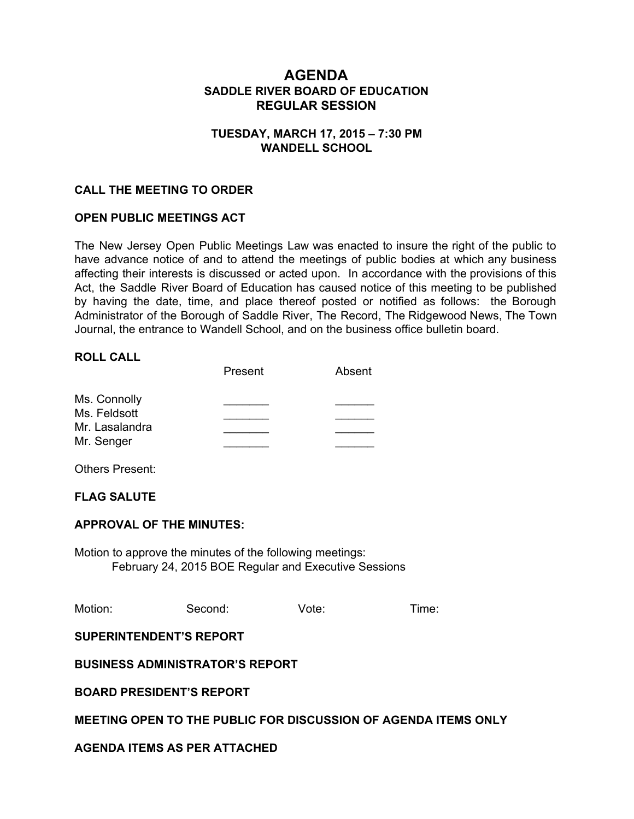# **AGENDA SADDLE RIVER BOARD OF EDUCATION REGULAR SESSION**

### **TUESDAY, MARCH 17, 2015 – 7:30 PM WANDELL SCHOOL**

### **CALL THE MEETING TO ORDER**

# **OPEN PUBLIC MEETINGS ACT**

The New Jersey Open Public Meetings Law was enacted to insure the right of the public to have advance notice of and to attend the meetings of public bodies at which any business affecting their interests is discussed or acted upon. In accordance with the provisions of this Act, the Saddle River Board of Education has caused notice of this meeting to be published by having the date, time, and place thereof posted or notified as follows: the Borough Administrator of the Borough of Saddle River, The Record, The Ridgewood News, The Town Journal, the entrance to Wandell School, and on the business office bulletin board.

## **ROLL CALL**

|                | Present | Absent |
|----------------|---------|--------|
| Ms. Connolly   |         |        |
| Ms. Feldsott   |         |        |
| Mr. Lasalandra |         |        |
| Mr. Senger     |         |        |

Others Present:

#### **FLAG SALUTE**

#### **APPROVAL OF THE MINUTES:**

Motion to approve the minutes of the following meetings: February 24, 2015 BOE Regular and Executive Sessions

| Motion: | Second: | Vote: | Time: |
|---------|---------|-------|-------|
|         |         |       |       |

#### **SUPERINTENDENT'S REPORT**

**BUSINESS ADMINISTRATOR'S REPORT**

#### **BOARD PRESIDENT'S REPORT**

#### **MEETING OPEN TO THE PUBLIC FOR DISCUSSION OF AGENDA ITEMS ONLY**

#### **AGENDA ITEMS AS PER ATTACHED**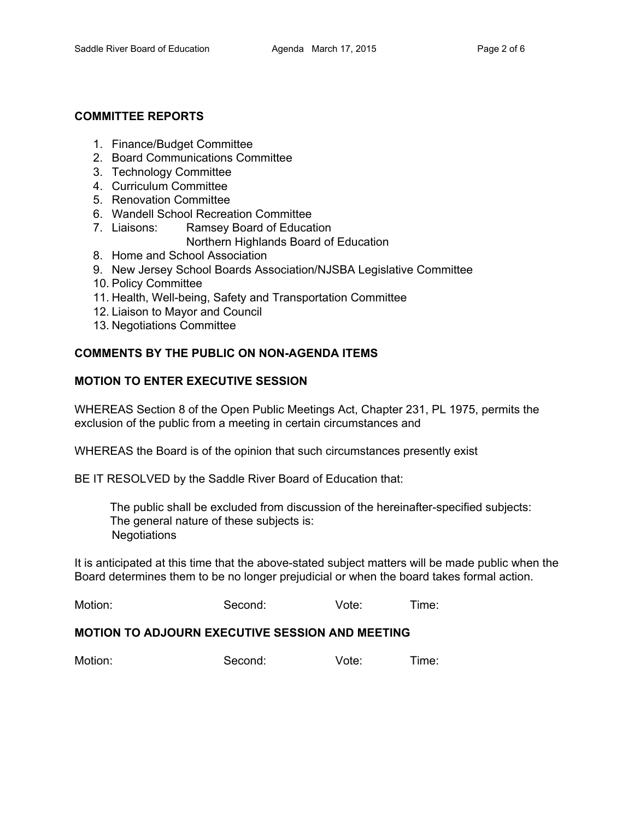#### **COMMITTEE REPORTS**

- 1. Finance/Budget Committee
- 2. Board Communications Committee
- 3. Technology Committee
- 4. Curriculum Committee
- 5. Renovation Committee
- 6. Wandell School Recreation Committee
- 7. Liaisons: Ramsey Board of Education Northern Highlands Board of Education
- 8. Home and School Association
- 9. New Jersey School Boards Association/NJSBA Legislative Committee
- 10. Policy Committee
- 11. Health, Well-being, Safety and Transportation Committee
- 12. Liaison to Mayor and Council
- 13. Negotiations Committee

#### **COMMENTS BY THE PUBLIC ON NONAGENDA ITEMS**

#### **MOTION TO ENTER EXECUTIVE SESSION**

WHEREAS Section 8 of the Open Public Meetings Act, Chapter 231, PL 1975, permits the exclusion of the public from a meeting in certain circumstances and

WHEREAS the Board is of the opinion that such circumstances presently exist

BE IT RESOLVED by the Saddle River Board of Education that:

The public shall be excluded from discussion of the hereinafter-specified subjects: The general nature of these subjects is: **Negotiations** 

It is anticipated at this time that the above-stated subject matters will be made public when the Board determines them to be no longer prejudicial or when the board takes formal action.

Motion: Second: Vote: Time:

#### **MOTION TO ADJOURN EXECUTIVE SESSION AND MEETING**

| Motion: | Second: | Vote: | Time: |
|---------|---------|-------|-------|
|         |         |       |       |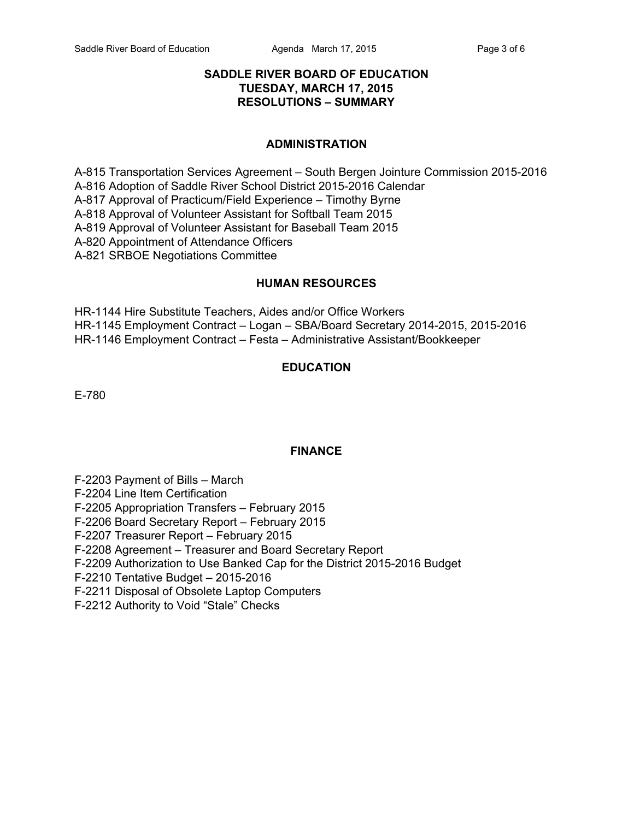### **SADDLE RIVER BOARD OF EDUCATION TUESDAY, MARCH 17, 2015 RESOLUTIONS – SUMMARY**

#### **ADMINISTRATION**

A-815 Transportation Services Agreement – South Bergen Jointure Commission 2015-2016 A-816 Adoption of Saddle River School District 2015-2016 Calendar A817 Approval of Practicum/Field Experience – Timothy Byrne A818 Approval of Volunteer Assistant for Softball Team 2015 A819 Approval of Volunteer Assistant for Baseball Team 2015 A-820 Appointment of Attendance Officers A-821 SRBOE Negotiations Committee

#### **HUMAN RESOURCES**

HR-1144 Hire Substitute Teachers, Aides and/or Office Workers HR-1145 Employment Contract - Logan - SBA/Board Secretary 2014-2015, 2015-2016 HR1146 Employment Contract – Festa – Administrative Assistant/Bookkeeper

# **EDUCATION**

E-780

#### **FINANCE**

F2203 Payment of Bills – March

F2204 Line Item Certification

F2205 Appropriation Transfers – February 2015

F2206 Board Secretary Report – February 2015

F2207 Treasurer Report – February 2015

F2208 Agreement – Treasurer and Board Secretary Report

F-2209 Authorization to Use Banked Cap for the District 2015-2016 Budget

F2210 Tentative Budget – 20152016

F2211 Disposal of Obsolete Laptop Computers

F2212 Authority to Void "Stale" Checks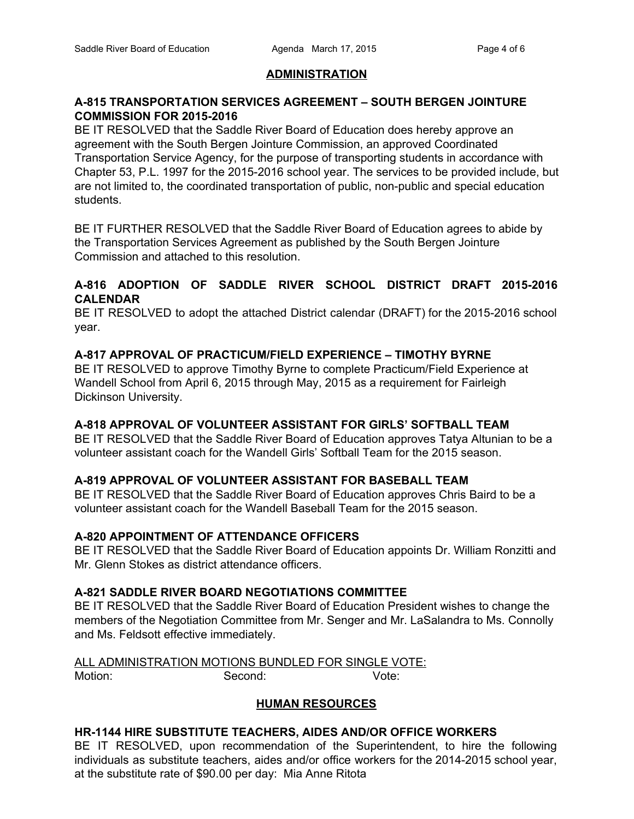#### **ADMINISTRATION**

### **A815 TRANSPORTATION SERVICES AGREEMENT – SOUTH BERGEN JOINTURE COMMISSION FOR 20152016**

BE IT RESOLVED that the Saddle River Board of Education does hereby approve an agreement with the South Bergen Jointure Commission, an approved Coordinated Transportation Service Agency, for the purpose of transporting students in accordance with Chapter 53, P.L. 1997 for the 2015-2016 school year. The services to be provided include, but are not limited to, the coordinated transportation of public, non-public and special education students.

BE IT FURTHER RESOLVED that the Saddle River Board of Education agrees to abide by the Transportation Services Agreement as published by the South Bergen Jointure Commission and attached to this resolution.

### **A816 ADOPTION OF SADDLE RIVER SCHOOL DISTRICT DRAFT 20152016 CALENDAR**

BE IT RESOLVED to adopt the attached District calendar (DRAFT) for the 2015-2016 school year.

# **A817 APPROVAL OF PRACTICUM/FIELD EXPERIENCE – TIMOTHY BYRNE**

BE IT RESOLVED to approve Timothy Byrne to complete Practicum/Field Experience at Wandell School from April 6, 2015 through May, 2015 as a requirement for Fairleigh Dickinson University.

#### **A818 APPROVAL OF VOLUNTEER ASSISTANT FOR GIRLS' SOFTBALL TEAM**

BE IT RESOLVED that the Saddle River Board of Education approves Tatya Altunian to be a volunteer assistant coach for the Wandell Girls' Softball Team for the 2015 season.

#### **A819 APPROVAL OF VOLUNTEER ASSISTANT FOR BASEBALL TEAM**

BE IT RESOLVED that the Saddle River Board of Education approves Chris Baird to be a volunteer assistant coach for the Wandell Baseball Team for the 2015 season.

# **A820 APPOINTMENT OF ATTENDANCE OFFICERS**

BE IT RESOLVED that the Saddle River Board of Education appoints Dr. William Ronzitti and Mr. Glenn Stokes as district attendance officers.

#### **A821 SADDLE RIVER BOARD NEGOTIATIONS COMMITTEE**

BE IT RESOLVED that the Saddle River Board of Education President wishes to change the members of the Negotiation Committee from Mr. Senger and Mr. LaSalandra to Ms. Connolly and Ms. Feldsott effective immediately.

ALL ADMINISTRATION MOTIONS BUNDLED FOR SINGLE VOTE: Motion: Second: Vote:

# **HUMAN RESOURCES**

# **HR1144 HIRE SUBSTITUTE TEACHERS, AIDES AND/OR OFFICE WORKERS**

BE IT RESOLVED, upon recommendation of the Superintendent, to hire the following individuals as substitute teachers, aides and/or office workers for the 2014-2015 school year, at the substitute rate of \$90.00 per day: Mia Anne Ritota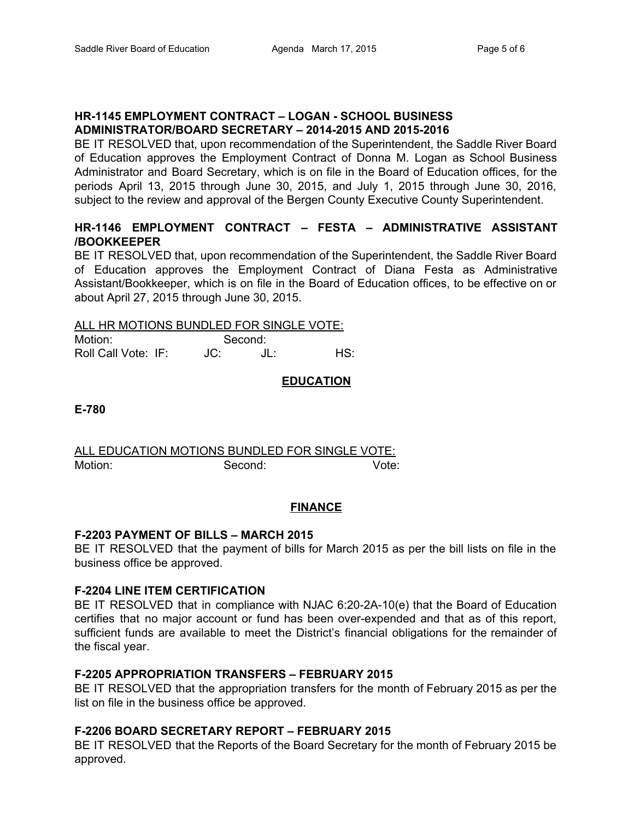# **HR1145 EMPLOYMENT CONTRACT – LOGAN SCHOOL BUSINESS ADMINISTRATOR/BOARD SECRETARY – 20142015 AND 20152016**

BE IT RESOLVED that, upon recommendation of the Superintendent, the Saddle River Board of Education approves the Employment Contract of Donna M. Logan as School Business Administrator and Board Secretary, which is on file in the Board of Education offices, for the periods April 13, 2015 through June 30, 2015, and July 1, 2015 through June 30, 2016, subject to the review and approval of the Bergen County Executive County Superintendent.

# **HR1146 EMPLOYMENT CONTRACT – FESTA – ADMINISTRATIVE ASSISTANT /BOOKKEEPER**

BE IT RESOLVED that, upon recommendation of the Superintendent, the Saddle River Board of Education approves the Employment Contract of Diana Festa as Administrative Assistant/Bookkeeper, which is on file in the Board of Education offices, to be effective on or about April 27, 2015 through June 30, 2015.

ALL HR MOTIONS BUNDLED FOR SINGLE VOTE:

| Motion:             |     | Second: |     |
|---------------------|-----|---------|-----|
| Roll Call Vote: IF: | JC: |         | HS: |

# **EDUCATION**

**E780**

ALL EDUCATION MOTIONS BUNDLED FOR SINGLE VOTE: Motion: Second: Vote:

#### **FINANCE**

#### **F2203 PAYMENT OF BILLS – MARCH 2015**

BE IT RESOLVED that the payment of bills for March 2015 as per the bill lists on file in the business office be approved.

#### **F2204 LINE ITEM CERTIFICATION**

BE IT RESOLVED that in compliance with NJAC 6:20-2A-10(e) that the Board of Education certifies that no major account or fund has been over-expended and that as of this report, sufficient funds are available to meet the District's financial obligations for the remainder of the fiscal year.

#### **F2205 APPROPRIATION TRANSFERS – FEBRUARY 2015**

BE IT RESOLVED that the appropriation transfers for the month of February 2015 as per the list on file in the business office be approved.

#### **F2206 BOARD SECRETARY REPORT – FEBRUARY 2015**

BE IT RESOLVED that the Reports of the Board Secretary for the month of February 2015 be approved.